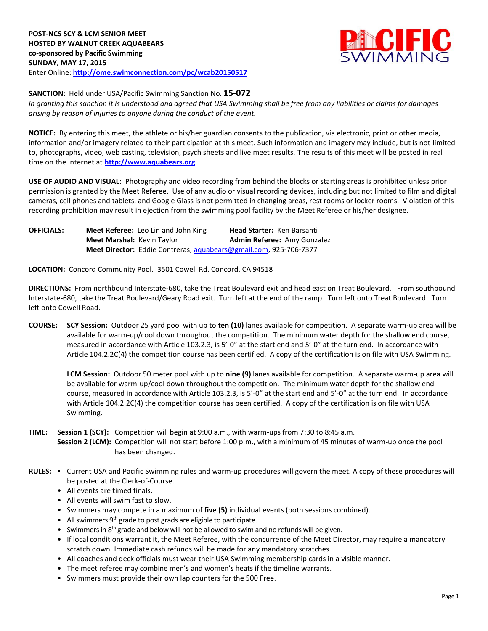

**SANCTION:** Held under USA/Pacific Swimming Sanction No. **15-072**

*In granting this sanction it is understood and agreed that USA Swimming shall be free from any liabilities or claims for damages arising by reason of injuries to anyone during the conduct of the event.*

**NOTICE:** By entering this meet, the athlete or his/her guardian consents to the publication, via electronic, print or other media, information and/or imagery related to their participation at this meet. Such information and imagery may include, but is not limited to, photographs, video, web casting, television, psych sheets and live meet results. The results of this meet will be posted in real time on the Internet at **[http://www.aquabears.org](http://www.aquabears.org/)**.

**USE OF AUDIO AND VISUAL:** Photography and video recording from behind the blocks or starting areas is prohibited unless prior permission is granted by the Meet Referee. Use of any audio or visual recording devices, including but not limited to film and digital cameras, cell phones and tablets, and Google Glass is not permitted in changing areas, rest rooms or locker rooms. Violation of this recording prohibition may result in ejection from the swimming pool facility by the Meet Referee or his/her designee.

**OFFICIALS: Meet Referee:** Leo Lin and John King **Head Starter:** Ken Barsanti **Meet Marshal: Kevin Taylor <b>Admin Referee:** Amy Gonzalez **Meet Director:** Eddie Contreras, [aquabears@gmail.com,](mailto:aquabears@gmail.com) 925-706-7377

**LOCATION:** Concord Community Pool. 3501 Cowell Rd. Concord, CA 94518

**DIRECTIONS:** From northbound Interstate-680, take the Treat Boulevard exit and head east on Treat Boulevard. From southbound Interstate-680, take the Treat Boulevard/Geary Road exit. Turn left at the end of the ramp. Turn left onto Treat Boulevard. Turn left onto Cowell Road.

**COURSE: SCY Session:** Outdoor 25 yard pool with up to **ten (10)** lanes available for competition. A separate warm-up area will be available for warm-up/cool down throughout the competition. The minimum water depth for the shallow end course, measured in accordance with Article 103.2.3, is 5'-0" at the start end and 5'-0" at the turn end. In accordance with Article 104.2.2C(4) the competition course has been certified. A copy of the certification is on file with USA Swimming.

**LCM Session:** Outdoor 50 meter pool with up to **nine (9)** lanes available for competition. A separate warm-up area will be available for warm-up/cool down throughout the competition. The minimum water depth for the shallow end course, measured in accordance with Article 103.2.3, is 5'-0" at the start end and 5'-0" at the turn end. In accordance with Article 104.2.2C(4) the competition course has been certified. A copy of the certification is on file with USA Swimming.

## **TIME: Session 1 (SCY):** Competition will begin at 9:00 a.m., with warm-ups from 7:30 to 8:45 a.m. **Session 2 (LCM):** Competition will not start before 1:00 p.m., with a minimum of 45 minutes of warm-up once the pool has been changed.

- **RULES:** Current USA and Pacific Swimming rules and warm-up procedures will govern the meet. A copy of these procedures will be posted at the Clerk-of-Course.
	- All events are timed finals.
	- All events will swim fast to slow.
	- Swimmers may compete in a maximum of **five (5)** individual events (both sessions combined).
	- All swimmers  $9<sup>th</sup>$  grade to post grads are eligible to participate.
	- Swimmers in  $8<sup>th</sup>$  grade and below will not be allowed to swim and no refunds will be given.
	- If local conditions warrant it, the Meet Referee, with the concurrence of the Meet Director, may require a mandatory scratch down. Immediate cash refunds will be made for any mandatory scratches.
	- All coaches and deck officials must wear their USA Swimming membership cards in a visible manner.
	- The meet referee may combine men's and women's heats if the timeline warrants.
	- Swimmers must provide their own lap counters for the 500 Free.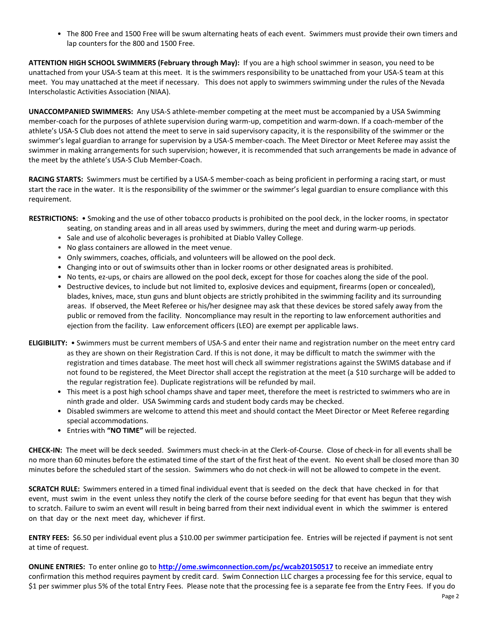• The 800 Free and 1500 Free will be swum alternating heats of each event. Swimmers must provide their own timers and lap counters for the 800 and 1500 Free.

**ATTENTION HIGH SCHOOL SWIMMERS (February through May):** If you are a high school swimmer in season, you need to be unattached from your USA-S team at this meet. It is the swimmers responsibility to be unattached from your USA-S team at this meet. You may unattached at the meet if necessary. This does not apply to swimmers swimming under the rules of the Nevada Interscholastic Activities Association (NIAA).

**UNACCOMPANIED SWIMMERS:** Any USA-S athlete-member competing at the meet must be accompanied by a USA Swimming member-coach for the purposes of athlete supervision during warm-up, competition and warm-down. If a coach-member of the athlete's USA-S Club does not attend the meet to serve in said supervisory capacity, it is the responsibility of the swimmer or the swimmer's legal guardian to arrange for supervision by a USA-S member-coach. The Meet Director or Meet Referee may assist the swimmer in making arrangements for such supervision; however, it is recommended that such arrangements be made in advance of the meet by the athlete's USA-S Club Member-Coach.

**RACING STARTS:** Swimmers must be certified by a USA-S member-coach as being proficient in performing a racing start, or must start the race in the water. It is the responsibility of the swimmer or the swimmer's legal guardian to ensure compliance with this requirement.

**RESTRICTIONS:** • Smoking and the use of other tobacco products is prohibited on the pool deck, in the locker rooms, in spectator

- seating, on standing areas and in all areas used by swimmers, during the meet and during warm-up periods.
- Sale and use of alcoholic beverages is prohibited at Diablo Valley College.
- No glass containers are allowed in the meet venue.
- Only swimmers, coaches, officials, and volunteers will be allowed on the pool deck.
- Changing into or out of swimsuits other than in locker rooms or other designated areas is prohibited.
- No tents, ez-ups, or chairs are allowed on the pool deck, except for those for coaches along the side of the pool.
- Destructive devices, to include but not limited to, explosive devices and equipment, firearms (open or concealed), blades, knives, mace, stun guns and blunt objects are strictly prohibited in the swimming facility and its surrounding areas. If observed, the Meet Referee or his/her designee may ask that these devices be stored safely away from the public or removed from the facility. Noncompliance may result in the reporting to law enforcement authorities and ejection from the facility. Law enforcement officers (LEO) are exempt per applicable laws.
- **ELIGIBILITY:**  Swimmers must be current members of USA-S and enter their name and registration number on the meet entry card as they are shown on their Registration Card. If this is not done, it may be difficult to match the swimmer with the registration and times database. The meet host will check all swimmer registrations against the SWIMS database and if not found to be registered, the Meet Director shall accept the registration at the meet (a \$10 surcharge will be added to the regular registration fee). Duplicate registrations will be refunded by mail.
	- This meet is a post high school champs shave and taper meet, therefore the meet is restricted to swimmers who are in ninth grade and older. USA Swimming cards and student body cards may be checked.
	- Disabled swimmers are welcome to attend this meet and should contact the Meet Director or Meet Referee regarding special accommodations.
	- Entries with **"NO TIME"** will be rejected.

**CHECK-IN:** The meet will be deck seeded. Swimmers must check-in at the Clerk-of-Course. Close of check‐in for all events shall be no more than 60 minutes before the estimated time of the start of the first heat of the event. No event shall be closed more than 30 minutes before the scheduled start of the session. Swimmers who do not check-in will not be allowed to compete in the event.

**SCRATCH RULE:** Swimmers entered in a timed final individual event that is seeded on the deck that have checked in for that event, must swim in the event unless they notify the clerk of the course before seeding for that event has begun that they wish to scratch. Failure to swim an event will result in being barred from their next individual event in which the swimmer is entered on that day or the next meet day, whichever if first.

**ENTRY FEES:** \$6.50 per individual event plus a \$10.00 per swimmer participation fee. Entries will be rejected if payment is not sent at time of request.

**ONLINE ENTRIES:** To enter online go to **<http://ome.swimconnection.com/pc/wcab20150517>** to receive an immediate entry confirmation this method requires payment by credit card. Swim Connection LLC charges a processing fee for this service, equal to \$1 per swimmer plus 5% of the total Entry Fees. Please note that the processing fee is a separate fee from the Entry Fees. If you do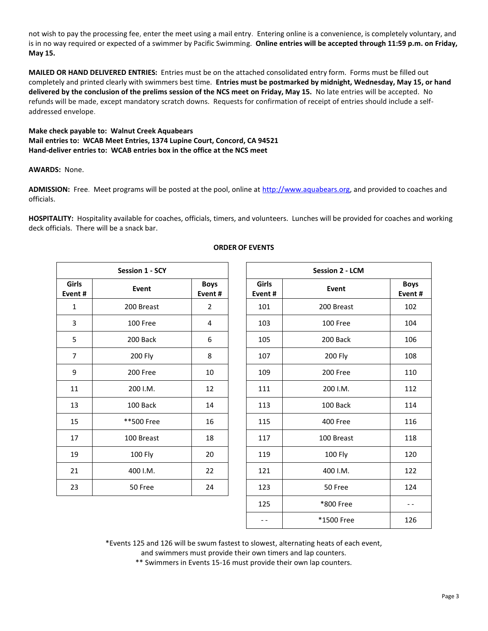not wish to pay the processing fee, enter the meet using a mail entry. Entering online is a convenience, is completely voluntary, and is in no way required or expected of a swimmer by Pacific Swimming. **Online entries will be accepted through 11:59 p.m. on Friday, May 15.**

**MAILED OR HAND DELIVERED ENTRIES:** Entries must be on the attached consolidated entry form. Forms must be filled out completely and printed clearly with swimmers best time. **Entries must be postmarked by midnight, Wednesday, May 15, or hand delivered by the conclusion of the prelims session of the NCS meet on Friday, May 15.** No late entries will be accepted. No refunds will be made, except mandatory scratch downs. Requests for confirmation of receipt of entries should include a selfaddressed envelope.

## **Make check payable to: Walnut Creek Aquabears Mail entries to: WCAB Meet Entries, 1374 Lupine Court, Concord, CA 94521 Hand-deliver entries to: WCAB entries box in the office at the NCS meet**

## **AWARDS:** None.

**ADMISSION:** Free. Meet programs will be posted at the pool, online at [http://www.aquabears.org,](http://www.aquabears.org/) and provided to coaches and officials.

**HOSPITALITY:** Hospitality available for coaches, officials, timers, and volunteers. Lunches will be provided for coaches and working deck officials. There will be a snack bar.

| <b>Session 1 - SCY</b> |            |                       |  |  |  |  |
|------------------------|------------|-----------------------|--|--|--|--|
| Girls<br>Event#        | Event      | <b>Boys</b><br>Event# |  |  |  |  |
| $\mathbf{1}$           | 200 Breast | $\overline{2}$        |  |  |  |  |
| 3                      | 100 Free   | 4                     |  |  |  |  |
| 5                      | 200 Back   | 6                     |  |  |  |  |
| 7                      | 200 Fly    | 8                     |  |  |  |  |
| 9                      | 200 Free   | 10                    |  |  |  |  |
| 11                     | 200 I.M.   | 12                    |  |  |  |  |
| 13                     | 100 Back   | 14                    |  |  |  |  |
| 15                     | **500 Free | 16                    |  |  |  |  |
| 17                     | 100 Breast | 18                    |  |  |  |  |
| 19                     | 100 Fly    | 20                    |  |  |  |  |
| 21                     | 400 I.M.   | 22                    |  |  |  |  |
| 23                     | 50 Free    | 24                    |  |  |  |  |

## **ORDER OF EVENTS**

| <b>Session 1 - SCY</b> |                |                       |  | <b>Session 2 - LCM</b> |            |                       |  |  |
|------------------------|----------------|-----------------------|--|------------------------|------------|-----------------------|--|--|
| iirls<br>ent #         | Event          | <b>Boys</b><br>Event# |  | <b>Girls</b><br>Event# | Event      | <b>Boys</b><br>Event# |  |  |
| $\mathbf{1}$           | 200 Breast     | $\overline{2}$        |  | 101                    | 200 Breast | 102                   |  |  |
| 3                      | 100 Free       | 4                     |  | 103<br>100 Free        |            | 104                   |  |  |
| 5                      | 200 Back<br>6  |                       |  | 105                    | 200 Back   | 106                   |  |  |
| $\overline{7}$         | 200 Fly        | 8                     |  | 107                    | 200 Fly    | 108                   |  |  |
| 9                      | 200 Free       | 10<br>109             |  | 200 Free               | 110        |                       |  |  |
| 11                     | 200 I.M.       | 12                    |  | 111                    | 200 I.M.   | 112                   |  |  |
| 13                     | 100 Back<br>14 |                       |  | 113                    | 100 Back   | 114                   |  |  |
| 15                     | **500 Free     | 16                    |  | 115                    | 400 Free   | 116                   |  |  |
| 17                     | 100 Breast     | 18                    |  | 117                    | 100 Breast | 118                   |  |  |
| 19                     | 100 Fly        | 20                    |  | 119                    | 100 Fly    | 120                   |  |  |
| 21                     | 400 I.M.       | 22                    |  | 121                    | 400 I.M.   | 122                   |  |  |
| 23                     | 50 Free        | 24                    |  | 123                    | 50 Free    | 124                   |  |  |
|                        |                |                       |  | 125                    | *800 Free  | - -                   |  |  |
|                        |                |                       |  | $- -$                  | *1500 Free | 126                   |  |  |

\*Events 125 and 126 will be swum fastest to slowest, alternating heats of each event,

and swimmers must provide their own timers and lap counters.

\*\* Swimmers in Events 15-16 must provide their own lap counters.